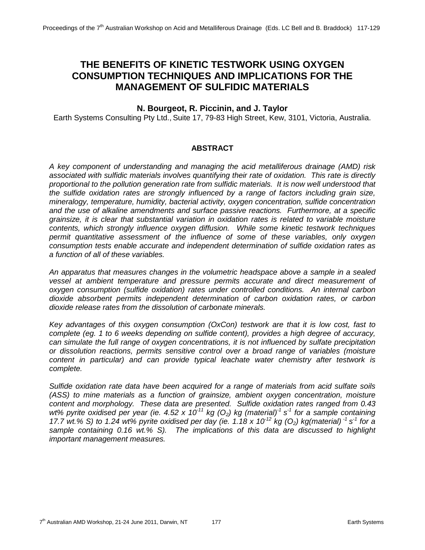# **THE BENEFITS OF KINETIC TESTWORK USING OXYGEN CONSUMPTION TECHNIQUES AND IMPLICATIONS FOR THE MANAGEMENT OF SULFIDIC MATERIALS**

# **N. Bourgeot, R. Piccinin, and J. Taylor**

Earth Systems Consulting Pty Ltd., Suite 17, 79-83 High Street, Kew, 3101, Victoria, Australia.

#### **ABSTRACT**

*A key component of understanding and managing the acid metalliferous drainage (AMD) risk associated with sulfidic materials involves quantifying their rate of oxidation. This rate is directly proportional to the pollution generation rate from sulfidic materials. It is now well understood that the sulfide oxidation rates are strongly influenced by a range of factors including grain size, mineralogy, temperature, humidity, bacterial activity, oxygen concentration, sulfide concentration and the use of alkaline amendments and surface passive reactions. Furthermore, at a specific grainsize, it is clear that substantial variation in oxidation rates is related to variable moisture contents, which strongly influence oxygen diffusion. While some kinetic testwork techniques permit quantitative assessment of the influence of some of these variables, only oxygen consumption tests enable accurate and independent determination of sulfide oxidation rates as a function of all of these variables.* 

*An apparatus that measures changes in the volumetric headspace above a sample in a sealed vessel at ambient temperature and pressure permits accurate and direct measurement of oxygen consumption (sulfide oxidation) rates under controlled conditions. An internal carbon dioxide absorbent permits independent determination of carbon oxidation rates, or carbon dioxide release rates from the dissolution of carbonate minerals.* 

*Key advantages of this oxygen consumption (OxCon) testwork are that it is low cost, fast to complete (eg. 1 to 6 weeks depending on sulfide content), provides a high degree of accuracy, can simulate the full range of oxygen concentrations, it is not influenced by sulfate precipitation or dissolution reactions, permits sensitive control over a broad range of variables (moisture content in particular) and can provide typical leachate water chemistry after testwork is complete.*

*Sulfide oxidation rate data have been acquired for a range of materials from acid sulfate soils (ASS) to mine materials as a function of grainsize, ambient oxygen concentration, moisture content and morphology. These data are presented. Sulfide oxidation rates ranged from 0.43 wt% pyrite oxidised per year (ie. 4.52 x 10-11 kg (O2) kg (material)-1 s-1 for a sample containing 17.7 wt.% S) to 1.24 wt% pyrite oxidised per day (ie. 1.18 x 10-12 kg (O2) kg(material) -1 s-1 for a sample containing 0.16 wt.% S). The implications of this data are discussed to highlight important management measures.*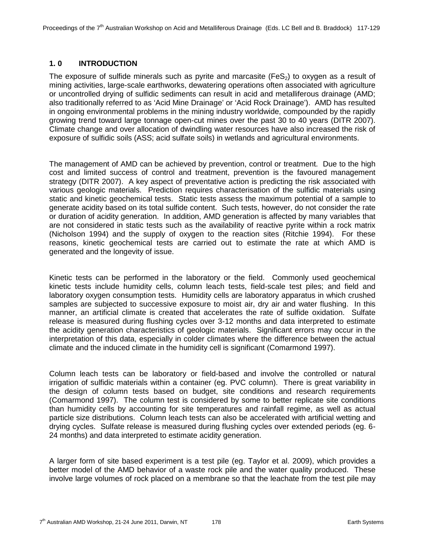## **1. 0 INTRODUCTION**

The exposure of sulfide minerals such as pyrite and marcasite (FeS<sub>2</sub>) to oxygen as a result of mining activities, large-scale earthworks, dewatering operations often associated with agriculture or uncontrolled drying of sulfidic sediments can result in acid and metalliferous drainage (AMD; also traditionally referred to as 'Acid Mine Drainage' or 'Acid Rock Drainage'). AMD has resulted in ongoing environmental problems in the mining industry worldwide, compounded by the rapidly growing trend toward large tonnage open-cut mines over the past 30 to 40 years (DITR 2007). Climate change and over allocation of dwindling water resources have also increased the risk of exposure of sulfidic soils (ASS; acid sulfate soils) in wetlands and agricultural environments.

The management of AMD can be achieved by prevention, control or treatment. Due to the high cost and limited success of control and treatment, prevention is the favoured management strategy (DITR 2007). A key aspect of preventative action is predicting the risk associated with various geologic materials. Prediction requires characterisation of the sulfidic materials using static and kinetic geochemical tests. Static tests assess the maximum potential of a sample to generate acidity based on its total sulfide content. Such tests, however, do not consider the rate or duration of acidity generation. In addition, AMD generation is affected by many variables that are not considered in static tests such as the availability of reactive pyrite within a rock matrix (Nicholson 1994) and the supply of oxygen to the reaction sites (Ritchie 1994). For these reasons, kinetic geochemical tests are carried out to estimate the rate at which AMD is generated and the longevity of issue.

Kinetic tests can be performed in the laboratory or the field. Commonly used geochemical kinetic tests include humidity cells, column leach tests, field-scale test piles; and field and laboratory oxygen consumption tests. Humidity cells are laboratory apparatus in which crushed samples are subjected to successive exposure to moist air, dry air and water flushing. In this manner, an artificial climate is created that accelerates the rate of sulfide oxidation. Sulfate release is measured during flushing cycles over 3-12 months and data interpreted to estimate the acidity generation characteristics of geologic materials. Significant errors may occur in the interpretation of this data, especially in colder climates where the difference between the actual climate and the induced climate in the humidity cell is significant (Comarmond 1997).

Column leach tests can be laboratory or field-based and involve the controlled or natural irrigation of sulfidic materials within a container (eg. PVC column). There is great variability in the design of column tests based on budget, site conditions and research requirements (Comarmond 1997). The column test is considered by some to better replicate site conditions than humidity cells by accounting for site temperatures and rainfall regime, as well as actual particle size distributions. Column leach tests can also be accelerated with artificial wetting and drying cycles. Sulfate release is measured during flushing cycles over extended periods (eg. 6- 24 months) and data interpreted to estimate acidity generation.

A larger form of site based experiment is a test pile (eg. Taylor et al. 2009), which provides a better model of the AMD behavior of a waste rock pile and the water quality produced. These involve large volumes of rock placed on a membrane so that the leachate from the test pile may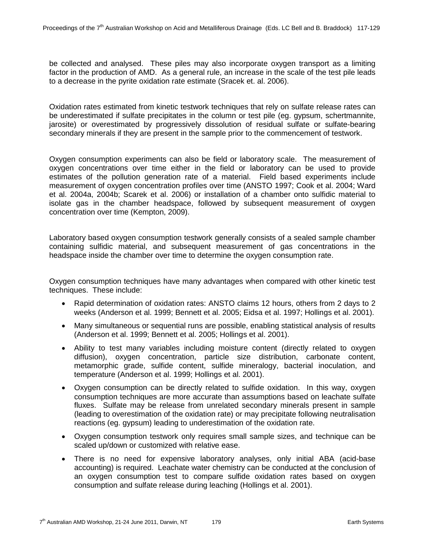be collected and analysed. These piles may also incorporate oxygen transport as a limiting factor in the production of AMD. As a general rule, an increase in the scale of the test pile leads to a decrease in the pyrite oxidation rate estimate (Sracek et. al. 2006).

Oxidation rates estimated from kinetic testwork techniques that rely on sulfate release rates can be underestimated if sulfate precipitates in the column or test pile (eg. gypsum, schertmannite, jarosite) or overestimated by progressively dissolution of residual sulfate or sulfate-bearing secondary minerals if they are present in the sample prior to the commencement of testwork.

Oxygen consumption experiments can also be field or laboratory scale. The measurement of oxygen concentrations over time either in the field or laboratory can be used to provide estimates of the pollution generation rate of a material. Field based experiments include measurement of oxygen concentration profiles over time (ANSTO 1997; Cook et al. 2004; Ward et al. 2004a, 2004b; Scarek et al. 2006) or installation of a chamber onto sulfidic material to isolate gas in the chamber headspace, followed by subsequent measurement of oxygen concentration over time (Kempton, 2009).

Laboratory based oxygen consumption testwork generally consists of a sealed sample chamber containing sulfidic material, and subsequent measurement of gas concentrations in the headspace inside the chamber over time to determine the oxygen consumption rate.

Oxygen consumption techniques have many advantages when compared with other kinetic test techniques. These include:

- Rapid determination of oxidation rates: ANSTO claims 12 hours, others from 2 days to 2 weeks (Anderson et al. 1999; Bennett et al. 2005; Eidsa et al. 1997; Hollings et al. 2001).
- Many simultaneous or sequential runs are possible, enabling statistical analysis of results (Anderson et al. 1999; Bennett et al. 2005; Hollings et al. 2001).
- Ability to test many variables including moisture content (directly related to oxygen diffusion), oxygen concentration, particle size distribution, carbonate content, metamorphic grade, sulfide content, sulfide mineralogy, bacterial inoculation, and temperature (Anderson et al. 1999; Hollings et al. 2001).
- Oxygen consumption can be directly related to sulfide oxidation. In this way, oxygen consumption techniques are more accurate than assumptions based on leachate sulfate fluxes. Sulfate may be release from unrelated secondary minerals present in sample (leading to overestimation of the oxidation rate) or may precipitate following neutralisation reactions (eg. gypsum) leading to underestimation of the oxidation rate.
- Oxygen consumption testwork only requires small sample sizes, and technique can be scaled up/down or customized with relative ease.
- There is no need for expensive laboratory analyses, only initial ABA (acid-base accounting) is required. Leachate water chemistry can be conducted at the conclusion of an oxygen consumption test to compare sulfide oxidation rates based on oxygen consumption and sulfate release during leaching (Hollings et al. 2001).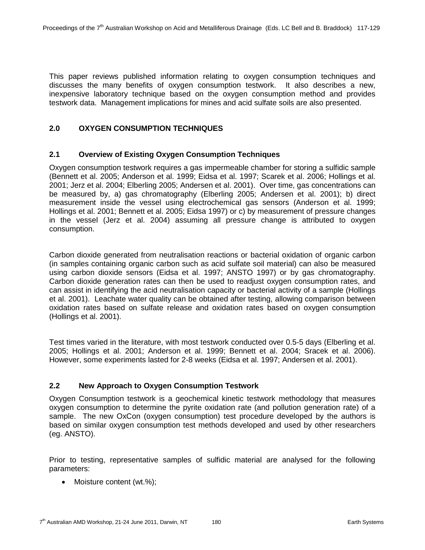This paper reviews published information relating to oxygen consumption techniques and discusses the many benefits of oxygen consumption testwork. It also describes a new, inexpensive laboratory technique based on the oxygen consumption method and provides testwork data. Management implications for mines and acid sulfate soils are also presented.

# **2.0 OXYGEN CONSUMPTION TECHNIQUES**

#### **2.1 Overview of Existing Oxygen Consumption Techniques**

Oxygen consumption testwork requires a gas impermeable chamber for storing a sulfidic sample (Bennett et al. 2005; Anderson et al. 1999; Eidsa et al. 1997; Scarek et al. 2006; Hollings et al. 2001; Jerz et al. 2004; Elberling 2005; Andersen et al. 2001). Over time, gas concentrations can be measured by, a) gas chromatography (Elberling 2005; Andersen et al. 2001); b) direct measurement inside the vessel using electrochemical gas sensors (Anderson et al. 1999; Hollings et al. 2001; Bennett et al. 2005; Eidsa 1997) or c) by measurement of pressure changes in the vessel (Jerz et al. 2004) assuming all pressure change is attributed to oxygen consumption.

Carbon dioxide generated from neutralisation reactions or bacterial oxidation of organic carbon (in samples containing organic carbon such as acid sulfate soil material) can also be measured using carbon dioxide sensors (Eidsa et al. 1997; ANSTO 1997) or by gas chromatography. Carbon dioxide generation rates can then be used to readjust oxygen consumption rates, and can assist in identifying the acid neutralisation capacity or bacterial activity of a sample (Hollings et al. 2001). Leachate water quality can be obtained after testing, allowing comparison between oxidation rates based on sulfate release and oxidation rates based on oxygen consumption (Hollings et al. 2001).

Test times varied in the literature, with most testwork conducted over 0.5-5 days (Elberling et al. 2005; Hollings et al. 2001; Anderson et al. 1999; Bennett et al. 2004; Sracek et al. 2006). However, some experiments lasted for 2-8 weeks (Eidsa et al. 1997; Andersen et al. 2001).

# **2.2 New Approach to Oxygen Consumption Testwork**

Oxygen Consumption testwork is a geochemical kinetic testwork methodology that measures oxygen consumption to determine the pyrite oxidation rate (and pollution generation rate) of a sample. The new OxCon (oxygen consumption) test procedure developed by the authors is based on similar oxygen consumption test methods developed and used by other researchers (eg. ANSTO).

Prior to testing, representative samples of sulfidic material are analysed for the following parameters:

• Moisture content (wt.%);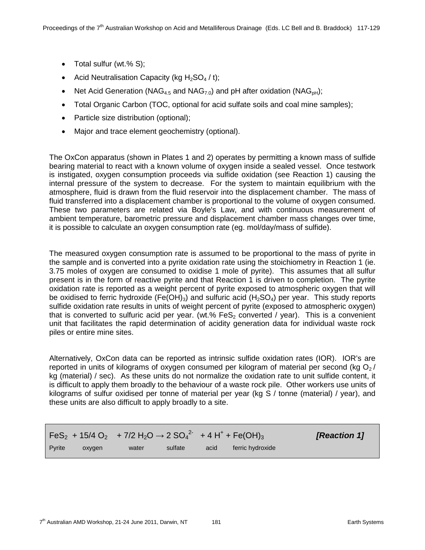- Total sulfur (wt.% S);
- Acid Neutralisation Capacity (kg  $H_2SO_4 / t$ );
- Net Acid Generation (NAG<sub>4.5</sub> and NAG<sub>7.0</sub>) and pH after oxidation (NAG<sub>pH</sub>);
- Total Organic Carbon (TOC, optional for acid sulfate soils and coal mine samples);
- Particle size distribution (optional);
- Major and trace element geochemistry (optional).

The OxCon apparatus (shown in Plates 1 and 2) operates by permitting a known mass of sulfide bearing material to react with a known volume of oxygen inside a sealed vessel. Once testwork is instigated, oxygen consumption proceeds via sulfide oxidation (see Reaction 1) causing the internal pressure of the system to decrease. For the system to maintain equilibrium with the atmosphere, fluid is drawn from the fluid reservoir into the displacement chamber. The mass of fluid transferred into a displacement chamber is proportional to the volume of oxygen consumed. These two parameters are related via Boyle's Law, and with continuous measurement of ambient temperature, barometric pressure and displacement chamber mass changes over time, it is possible to calculate an oxygen consumption rate (eg. mol/day/mass of sulfide).

The measured oxygen consumption rate is assumed to be proportional to the mass of pyrite in the sample and is converted into a pyrite oxidation rate using the stoichiometry in Reaction 1 (ie. 3.75 moles of oxygen are consumed to oxidise 1 mole of pyrite). This assumes that all sulfur present is in the form of reactive pyrite and that Reaction 1 is driven to completion. The pyrite oxidation rate is reported as a weight percent of pyrite exposed to atmospheric oxygen that will be oxidised to ferric hydroxide (Fe(OH)<sub>3</sub>) and sulfuric acid (H<sub>2</sub>SO<sub>4</sub>) per year. This study reports sulfide oxidation rate results in units of weight percent of pyrite (exposed to atmospheric oxygen) that is converted to sulfuric acid per year. (wt.%  $FeS<sub>2</sub>$  converted / year). This is a convenient unit that facilitates the rapid determination of acidity generation data for individual waste rock piles or entire mine sites.

Alternatively, OxCon data can be reported as intrinsic sulfide oxidation rates (IOR). IOR's are reported in units of kilograms of oxygen consumed per kilogram of material per second (kg  $O<sub>2</sub>$ / kg (material) / sec). As these units do not normalize the oxidation rate to unit sulfide content, it is difficult to apply them broadly to the behaviour of a waste rock pile. Other workers use units of kilograms of sulfur oxidised per tonne of material per year (kg S / tonne (material) / year), and these units are also difficult to apply broadly to a site.

|                |        | $\text{FeS}_2$ + 15/4 O <sub>2</sub> + 7/2 H <sub>2</sub> O $\rightarrow$ 2 SO <sub>4</sub> <sup>2</sup> + 4 H <sup>+</sup> + Fe(OH) <sub>3</sub> |         |      |                  | <b>[Reaction 1]</b> |
|----------------|--------|---------------------------------------------------------------------------------------------------------------------------------------------------|---------|------|------------------|---------------------|
| <b>P</b> vrite | oxvaen | water                                                                                                                                             | sulfate | acid | ferric hydroxide |                     |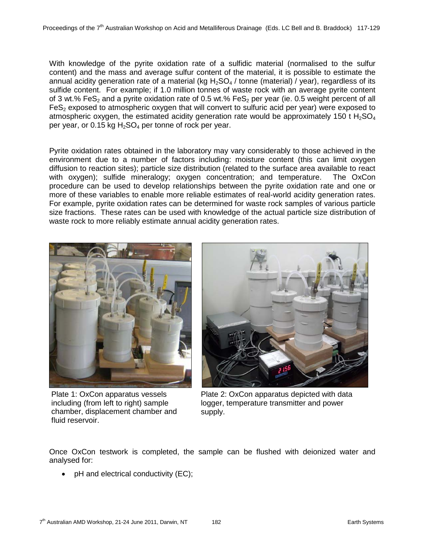With knowledge of the pyrite oxidation rate of a sulfidic material (normalised to the sulfur content) and the mass and average sulfur content of the material, it is possible to estimate the annual acidity generation rate of a material (kg  $H_2SO_4$  / tonne (material) / year), regardless of its sulfide content. For example; if 1.0 million tonnes of waste rock with an average pyrite content of 3 wt.% FeS<sub>2</sub> and a pyrite oxidation rate of 0.5 wt.% FeS<sub>2</sub> per year (ie. 0.5 weight percent of all  $FeS<sub>2</sub>$  exposed to atmospheric oxygen that will convert to sulfuric acid per year) were exposed to atmospheric oxygen, the estimated acidity generation rate would be approximately 150 t  $H_2SO_4$ per year, or 0.15 kg  $H_2SO_4$  per tonne of rock per year.

Pyrite oxidation rates obtained in the laboratory may vary considerably to those achieved in the environment due to a number of factors including: moisture content (this can limit oxygen diffusion to reaction sites); particle size distribution (related to the surface area available to react with oxygen); sulfide mineralogy; oxygen concentration; and temperature. The OxCon procedure can be used to develop relationships between the pyrite oxidation rate and one or more of these variables to enable more reliable estimates of real-world acidity generation rates. For example, pyrite oxidation rates can be determined for waste rock samples of various particle size fractions. These rates can be used with knowledge of the actual particle size distribution of waste rock to more reliably estimate annual acidity generation rates.



Plate 1: OxCon apparatus vessels including (from left to right) sample chamber, displacement chamber and fluid reservoir.



Plate 2: OxCon apparatus depicted with data logger, temperature transmitter and power supply.

Once OxCon testwork is completed, the sample can be flushed with deionized water and analysed for:

• pH and electrical conductivity (EC);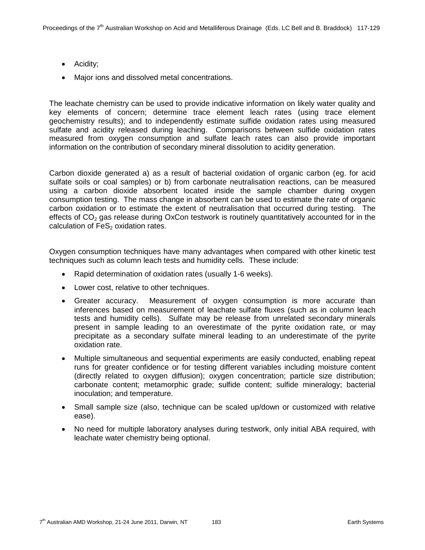- Acidity;
- Major ions and dissolved metal concentrations.

The leachate chemistry can be used to provide indicative information on likely water quality and key elements of concern; determine trace element leach rates (using trace element geochemistry results); and to independently estimate sulfide oxidation rates using measured sulfate and acidity released during leaching. Comparisons between sulfide oxidation rates measured from oxygen consumption and sulfate leach rates can also provide important information on the contribution of secondary mineral dissolution to acidity generation.

Carbon dioxide generated a) as a result of bacterial oxidation of organic carbon (eg. for acid sulfate soils or coal samples) or b) from carbonate neutralisation reactions, can be measured using a carbon dioxide absorbent located inside the sample chamber during oxygen consumption testing. The mass change in absorbent can be used to estimate the rate of organic carbon oxidation or to estimate the extent of neutralisation that occurred during testing. The effects of  $CO<sub>2</sub>$  gas release during OxCon testwork is routinely quantitatively accounted for in the calculation of  $FeS<sub>2</sub>$  oxidation rates.

Oxygen consumption techniques have many advantages when compared with other kinetic test techniques such as column leach tests and humidity cells. These include:

- Rapid determination of oxidation rates (usually 1-6 weeks).
- Lower cost, relative to other techniques.
- Greater accuracy. Measurement of oxygen consumption is more accurate than inferences based on measurement of leachate sulfate fluxes (such as in column leach tests and humidity cells). Sulfate may be release from unrelated secondary minerals present in sample leading to an overestimate of the pyrite oxidation rate, or may precipitate as a secondary sulfate mineral leading to an underestimate of the pyrite oxidation rate.
- Multiple simultaneous and sequential experiments are easily conducted, enabling repeat runs for greater confidence or for testing different variables including moisture content (directly related to oxygen diffusion); oxygen concentration; particle size distribution; carbonate content; metamorphic grade; sulfide content; sulfide mineralogy; bacterial inoculation; and temperature.
- Small sample size (also, technique can be scaled up/down or customized with relative ease).
- No need for multiple laboratory analyses during testwork, only initial ABA required, with leachate water chemistry being optional.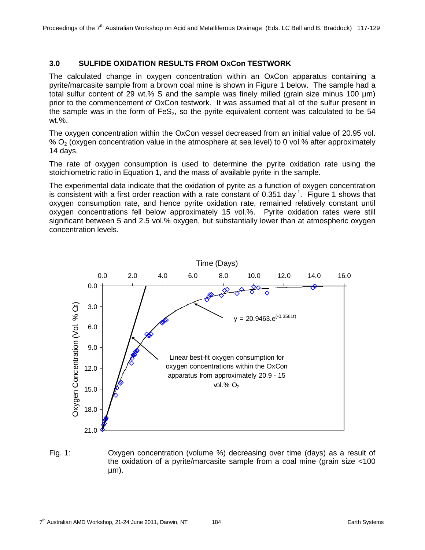# **3.0 SULFIDE OXIDATION RESULTS FROM OxCon TESTWORK**

The calculated change in oxygen concentration within an OxCon apparatus containing a pyrite/marcasite sample from a brown coal mine is shown in Figure 1 below. The sample had a total sulfur content of 29 wt.% S and the sample was finely milled (grain size minus 100 µm) prior to the commencement of OxCon testwork. It was assumed that all of the sulfur present in the sample was in the form of  $FeS<sub>2</sub>$ , so the pyrite equivalent content was calculated to be  $54$ wt.%.

The oxygen concentration within the OxCon vessel decreased from an initial value of 20.95 vol. %  $O<sub>2</sub>$  (oxygen concentration value in the atmosphere at sea level) to 0 vol % after approximately 14 days.

The rate of oxygen consumption is used to determine the pyrite oxidation rate using the stoichiometric ratio in Equation 1, and the mass of available pyrite in the sample.

The experimental data indicate that the oxidation of pyrite as a function of oxygen concentration is consistent with a first order reaction with a rate constant of 0.351 day<sup>-1</sup>. Figure 1 shows that oxygen consumption rate, and hence pyrite oxidation rate, remained relatively constant until oxygen concentrations fell below approximately 15 vol.%. Pyrite oxidation rates were still significant between 5 and 2.5 vol.% oxygen, but substantially lower than at atmospheric oxygen concentration levels.



Fig. 1: Oxygen concentration (volume %) decreasing over time (days) as a result of the oxidation of a pyrite/marcasite sample from a coal mine (grain size <100 µm).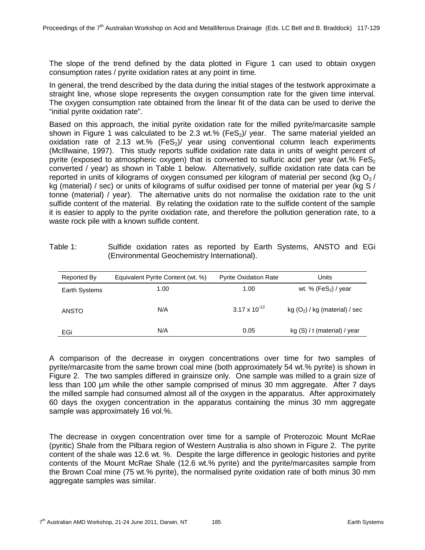The slope of the trend defined by the data plotted in Figure 1 can used to obtain oxygen consumption rates / pyrite oxidation rates at any point in time.

In general, the trend described by the data during the initial stages of the testwork approximate a straight line, whose slope represents the oxygen consumption rate for the given time interval. The oxygen consumption rate obtained from the linear fit of the data can be used to derive the "initial pyrite oxidation rate".

Based on this approach, the initial pyrite oxidation rate for the milled pyrite/marcasite sample shown in Figure 1 was calculated to be 2.3 wt.% (FeS<sub>2</sub>)/ year. The same material yielded an oxidation rate of 2.13 wt.% (FeS<sub>2</sub>)/ year using conventional column leach experiments (McIllwaine, 1997). This study reports sulfide oxidation rate data in units of weight percent of pyrite (exposed to atmospheric oxygen) that is converted to sulfuric acid per year (wt.%  $FeS<sub>2</sub>$ ) converted / year) as shown in Table 1 below. Alternatively, sulfide oxidation rate data can be reported in units of kilograms of oxygen consumed per kilogram of material per second (kg  $O<sub>2</sub>$ / kg (material) / sec) or units of kilograms of sulfur oxidised per tonne of material per year (kg S / tonne (material) / year). The alternative units do not normalise the oxidation rate to the unit sulfide content of the material. By relating the oxidation rate to the sulfide content of the sample it is easier to apply to the pyrite oxidation rate, and therefore the pollution generation rate, to a waste rock pile with a known sulfide content.

| Reported By   | Equivalent Pyrite Content (wt. %) | <b>Pyrite Oxidation Rate</b> | Units                            |
|---------------|-----------------------------------|------------------------------|----------------------------------|
| Earth Systems | 1.00                              | 1.00                         | wt. % $(FeS_2)$ / year           |
| <b>ANSTO</b>  | N/A                               | $3.17 \times 10^{-12}$       | kg $(O_2)$ / kg (material) / sec |
| EGi           | N/A                               | 0.05                         | kg (S) / t (material) / year     |

Table 1: Sulfide oxidation rates as reported by Earth Systems, ANSTO and EGi (Environmental Geochemistry International).

A comparison of the decrease in oxygen concentrations over time for two samples of pyrite/marcasite from the same brown coal mine (both approximately 54 wt.% pyrite) is shown in Figure 2. The two samples differed in grainsize only. One sample was milled to a grain size of less than 100 µm while the other sample comprised of minus 30 mm aggregate. After 7 days the milled sample had consumed almost all of the oxygen in the apparatus. After approximately 60 days the oxygen concentration in the apparatus containing the minus 30 mm aggregate sample was approximately 16 vol.%.

The decrease in oxygen concentration over time for a sample of Proterozoic Mount McRae (pyritic) Shale from the Pilbara region of Western Australia is also shown in Figure 2. The pyrite content of the shale was 12.6 wt. %. Despite the large difference in geologic histories and pyrite contents of the Mount McRae Shale (12.6 wt.% pyrite) and the pyrite/marcasites sample from the Brown Coal mine (75 wt.% pyrite), the normalised pyrite oxidation rate of both minus 30 mm aggregate samples was similar.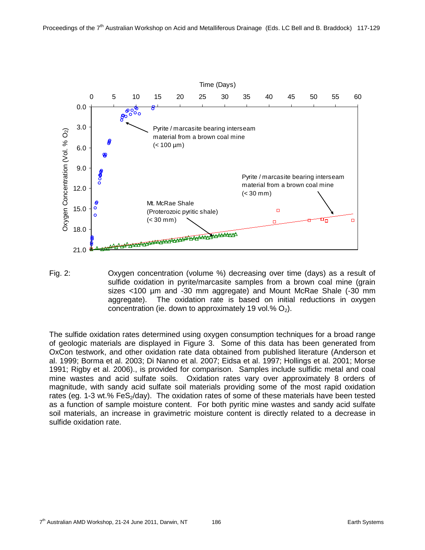

Fig. 2: Oxygen concentration (volume %) decreasing over time (days) as a result of sulfide oxidation in pyrite/marcasite samples from a brown coal mine (grain sizes <100 µm and -30 mm aggregate) and Mount McRae Shale (-30 mm aggregate). The oxidation rate is based on initial reductions in oxygen concentration (ie. down to approximately 19 vol.%  $O<sub>2</sub>$ ).

The sulfide oxidation rates determined using oxygen consumption techniques for a broad range of geologic materials are displayed in Figure 3. Some of this data has been generated from OxCon testwork, and other oxidation rate data obtained from published literature (Anderson et al. 1999; Borma et al. 2003; Di Nanno et al. 2007; Eidsa et al. 1997; Hollings et al. 2001; Morse 1991; Rigby et al. 2006)., is provided for comparison. Samples include sulfidic metal and coal mine wastes and acid sulfate soils. Oxidation rates vary over approximately 8 orders of magnitude, with sandy acid sulfate soil materials providing some of the most rapid oxidation rates (eg. 1-3 wt.%  $FeS<sub>2</sub>/day$ ). The oxidation rates of some of these materials have been tested as a function of sample moisture content. For both pyritic mine wastes and sandy acid sulfate soil materials, an increase in gravimetric moisture content is directly related to a decrease in sulfide oxidation rate.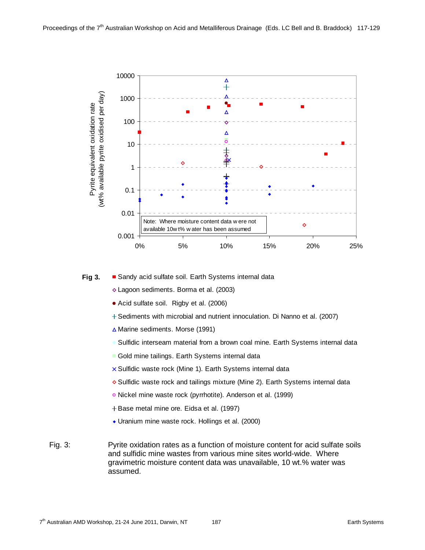

#### ■ Sandy acid sulfate soil. Earth Systems internal data **Fig 3.**

- Lagoon sediments. Borma et al. (2003)
- Acid sulfate soil. Rigby et al. (2006)
- + Sediments with microbial and nutrient innoculation. Di Nanno et al. (2007)
- $\triangle$  Marine sediments. Morse (1991)
- Sulfidic interseam material from a brown coal mine. Earth Systems internal data
- Gold mine tailings. Earth Systems internal data
- $\times$  Sulfidic waste rock (Mine 1). Earth Systems internal data
- ◆ Sulfidic waste rock and tailings mixture (Mine 2). Earth Systems internal data
- o Nickel mine waste rock (pyrrhotite). Anderson et al. (1999)
- + Base metal mine ore. Eidsa et al. (1997)
- Uranium mine waste rock. Hollings et al. (2000)
- Fig. 3: Pyrite oxidation rates as a function of moisture content for acid sulfate soils and sulfidic mine wastes from various mine sites world-wide. Where gravimetric moisture content data was unavailable, 10 wt.% water was assumed.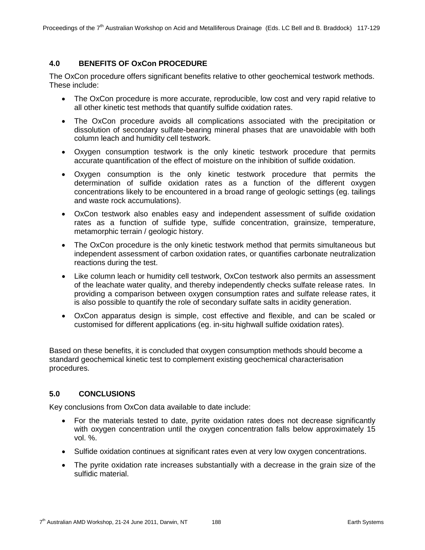# **4.0 BENEFITS OF OxCon PROCEDURE**

The OxCon procedure offers significant benefits relative to other geochemical testwork methods. These include:

- The OxCon procedure is more accurate, reproducible, low cost and very rapid relative to all other kinetic test methods that quantify sulfide oxidation rates.
- The OxCon procedure avoids all complications associated with the precipitation or dissolution of secondary sulfate-bearing mineral phases that are unavoidable with both column leach and humidity cell testwork.
- Oxygen consumption testwork is the only kinetic testwork procedure that permits accurate quantification of the effect of moisture on the inhibition of sulfide oxidation.
- Oxygen consumption is the only kinetic testwork procedure that permits the determination of sulfide oxidation rates as a function of the different oxygen concentrations likely to be encountered in a broad range of geologic settings (eg. tailings and waste rock accumulations).
- OxCon testwork also enables easy and independent assessment of sulfide oxidation rates as a function of sulfide type, sulfide concentration, grainsize, temperature, metamorphic terrain / geologic history.
- The OxCon procedure is the only kinetic testwork method that permits simultaneous but independent assessment of carbon oxidation rates, or quantifies carbonate neutralization reactions during the test.
- Like column leach or humidity cell testwork, OxCon testwork also permits an assessment of the leachate water quality, and thereby independently checks sulfate release rates. In providing a comparison between oxygen consumption rates and sulfate release rates, it is also possible to quantify the role of secondary sulfate salts in acidity generation.
- OxCon apparatus design is simple, cost effective and flexible, and can be scaled or customised for different applications (eg. in-situ highwall sulfide oxidation rates).

Based on these benefits, it is concluded that oxygen consumption methods should become a standard geochemical kinetic test to complement existing geochemical characterisation procedures.

## **5.0 CONCLUSIONS**

Key conclusions from OxCon data available to date include:

- For the materials tested to date, pyrite oxidation rates does not decrease significantly with oxygen concentration until the oxygen concentration falls below approximately 15 vol. %.
- Sulfide oxidation continues at significant rates even at very low oxygen concentrations.
- The pyrite oxidation rate increases substantially with a decrease in the grain size of the sulfidic material.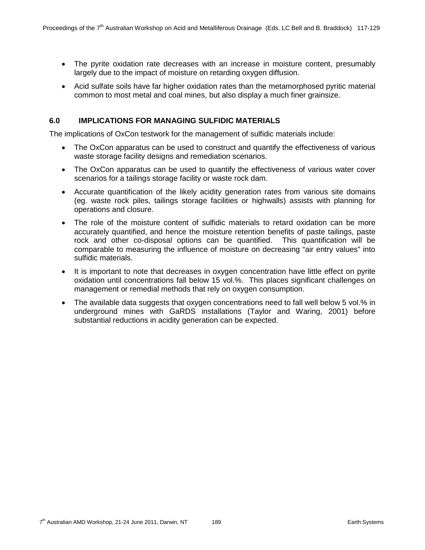- The pyrite oxidation rate decreases with an increase in moisture content, presumably largely due to the impact of moisture on retarding oxygen diffusion.
- Acid sulfate soils have far higher oxidation rates than the metamorphosed pyritic material common to most metal and coal mines, but also display a much finer grainsize.

### **6.0 IMPLICATIONS FOR MANAGING SULFIDIC MATERIALS**

The implications of OxCon testwork for the management of sulfidic materials include:

- The OxCon apparatus can be used to construct and quantify the effectiveness of various waste storage facility designs and remediation scenarios.
- The OxCon apparatus can be used to quantify the effectiveness of various water cover scenarios for a tailings storage facility or waste rock dam.
- Accurate quantification of the likely acidity generation rates from various site domains (eg. waste rock piles, tailings storage facilities or highwalls) assists with planning for operations and closure.
- The role of the moisture content of sulfidic materials to retard oxidation can be more accurately quantified, and hence the moisture retention benefits of paste tailings, paste rock and other co-disposal options can be quantified. This quantification will be comparable to measuring the influence of moisture on decreasing "air entry values" into sulfidic materials.
- It is important to note that decreases in oxygen concentration have little effect on pyrite oxidation until concentrations fall below 15 vol.%. This places significant challenges on management or remedial methods that rely on oxygen consumption.
- The available data suggests that oxygen concentrations need to fall well below 5 vol.% in underground mines with GaRDS installations (Taylor and Waring, 2001) before substantial reductions in acidity generation can be expected.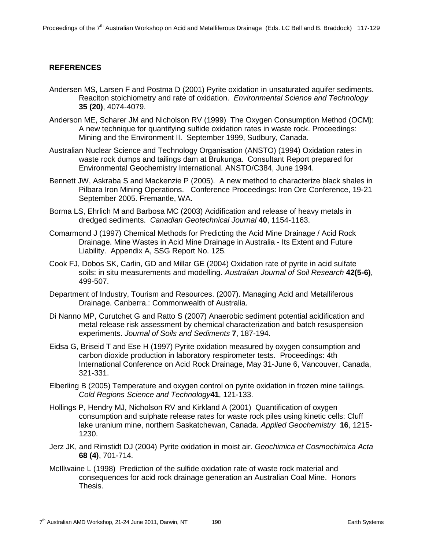## **REFERENCES**

- Andersen MS, Larsen F and Postma D (2001) Pyrite oxidation in unsaturated aquifer sediments. Reaciton stoichiometry and rate of oxidation. *Environmental Science and Technology* **35 (20)**, 4074-4079.
- Anderson ME, Scharer JM and Nicholson RV (1999) The Oxygen Consumption Method (OCM): A new technique for quantifying sulfide oxidation rates in waste rock. Proceedings: Mining and the Environment II. September 1999, Sudbury, Canada.
- Australian Nuclear Science and Technology Organisation (ANSTO) (1994) Oxidation rates in waste rock dumps and tailings dam at Brukunga. Consultant Report prepared for Environmental Geochemistry International. ANSTO/C384, June 1994.
- Bennett JW, Askraba S and Mackenzie P (2005). A new method to characterize black shales in Pilbara Iron Mining Operations. Conference Proceedings: Iron Ore Conference, 19-21 September 2005. Fremantle, WA.
- Borma LS, Ehrlich M and Barbosa MC (2003) Acidification and release of heavy metals in dredged sediments. *Canadian Geotechnical Journal* **40**, 1154-1163.
- Comarmond J (1997) Chemical Methods for Predicting the Acid Mine Drainage / Acid Rock Drainage. Mine Wastes in Acid Mine Drainage in Australia - Its Extent and Future Liability. Appendix A, SSG Report No. 125.
- Cook FJ, Dobos SK, Carlin, GD and Millar GE (2004) Oxidation rate of pyrite in acid sulfate soils: in situ measurements and modelling. *Australian Journal of Soil Research* **42(5-6)**, 499-507.
- Department of Industry, Tourism and Resources. (2007). Managing Acid and Metalliferous Drainage. Canberra.: Commonwealth of Australia.
- Di Nanno MP, Curutchet G and Ratto S (2007) Anaerobic sediment potential acidification and metal release risk assessment by chemical characterization and batch resuspension experiments. *Journal of Soils and Sediments* **7**, 187-194.
- Eidsa G, Briseid T and Ese H (1997) Pyrite oxidation measured by oxygen consumption and carbon dioxide production in laboratory respirometer tests. Proceedings: 4th International Conference on Acid Rock Drainage, May 31-June 6, Vancouver, Canada, 321-331.
- Elberling B (2005) Temperature and oxygen control on pyrite oxidation in frozen mine tailings. *Cold Regions Science and Technology***41**, 121-133.
- Hollings P, Hendry MJ, Nicholson RV and Kirkland A (2001) Quantification of oxygen consumption and sulphate release rates for waste rock piles using kinetic cells: Cluff lake uranium mine, northern Saskatchewan, Canada. *Applied Geochemistry* **16**, 1215- 1230.
- Jerz JK, and Rimstidt DJ (2004) Pyrite oxidation in moist air. *Geochimica et Cosmochimica Acta*  **68 (4)**, 701-714.
- McIllwaine L (1998) Prediction of the sulfide oxidation rate of waste rock material and consequences for acid rock drainage generation an Australian Coal Mine. Honors Thesis.